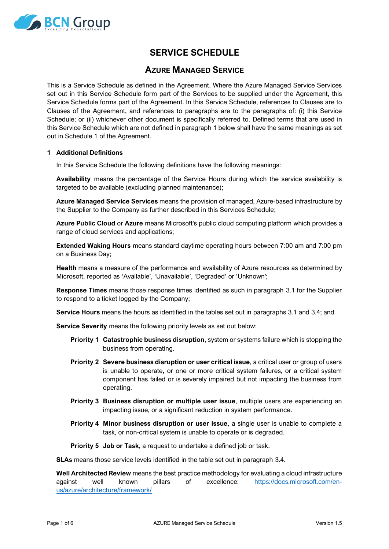

# **SERVICE SCHEDULE**

# **AZURE MANAGED SERVICE**

This is a Service Schedule as defined in the Agreement. Where the Azure Managed Service Services set out in this Service Schedule form part of the Services to be supplied under the Agreement, this Service Schedule forms part of the Agreement. In this Service Schedule, references to Clauses are to Clauses of the Agreement, and references to paragraphs are to the paragraphs of: (i) this Service Schedule; or (ii) whichever other document is specifically referred to. Defined terms that are used in this Service Schedule which are not defined in paragraph 1 below shall have the same meanings as set out in Schedule 1 of the Agreement.

#### **1 Additional Definitions**

In this Service Schedule the following definitions have the following meanings:

**Availability** means the percentage of the Service Hours during which the service availability is targeted to be available (excluding planned maintenance);

**Azure Managed Service Services** means the provision of managed, Azure-based infrastructure by the Supplier to the Company as further described in this Services Schedule;

**Azure Public Cloud** or **Azure** means Microsoft's public cloud computing platform which provides a range of cloud services and applications;

**Extended Waking Hours** means standard daytime operating hours between 7:00 am and 7:00 pm on a Business Day;

**Health** means a measure of the performance and availability of Azure resources as determined by Microsoft, reported as 'Available', 'Unavailable', 'Degraded' or 'Unknown';

**Response Times** means those response times identified as such in paragraph [3.1](#page-4-0) for the Supplier to respond to a ticket logged by the Company;

**Service Hours** means the hours as identified in the tables set out in paragraphs [3.1](#page-4-0) and [3.4;](#page-5-0) and

**Service Severity** means the following priority levels as set out below:

- **Priority 1 Catastrophic business disruption**, system or systems failure which is stopping the business from operating.
- **Priority 2 Severe business disruption or user critical issue**, a critical user or group of users is unable to operate, or one or more critical system failures, or a critical system component has failed or is severely impaired but not impacting the business from operating.
- **Priority 3 Business disruption or multiple user issue**, multiple users are experiencing an impacting issue, or a significant reduction in system performance.
- **Priority 4 Minor business disruption or user issue**, a single user is unable to complete a task, or non-critical system is unable to operate or is degraded.

**Priority 5 Job or Task**, a request to undertake a defined job or task.

**SLAs** means those service levels identified in the table set out in paragraph [3.4.](#page-5-0)

**Well Architected Review** means the best practice methodology for evaluating a cloud infrastructure against well known pillars of excellence: [https://docs.microsoft.com/en](https://docs.microsoft.com/en-us/azure/architecture/framework/)[us/azure/architecture/framework/](https://docs.microsoft.com/en-us/azure/architecture/framework/)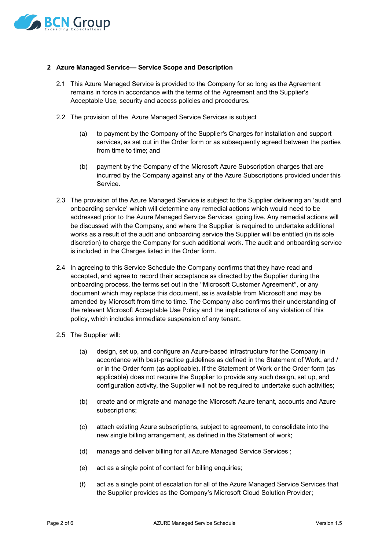

#### **2 Azure Managed Service— Service Scope and Description**

- 2.1 This Azure Managed Service is provided to the Company for so long as the Agreement remains in force in accordance with the terms of the Agreement and the Supplier's Acceptable Use, security and access policies and procedures.
- 2.2 The provision of the Azure Managed Service Services is subject
	- (a) to payment by the Company of the Supplier's Charges for installation and support services, as set out in the Order form or as subsequently agreed between the parties from time to time; and
	- (b) payment by the Company of the Microsoft Azure Subscription charges that are incurred by the Company against any of the Azure Subscriptions provided under this Service.
- 2.3 The provision of the Azure Managed Service is subject to the Supplier delivering an 'audit and onboarding service' which will determine any remedial actions which would need to be addressed prior to the Azure Managed Service Services going live. Any remedial actions will be discussed with the Company, and where the Supplier is required to undertake additional works as a result of the audit and onboarding service the Supplier will be entitled (in its sole discretion) to charge the Company for such additional work. The audit and onboarding service is included in the Charges listed in the Order form.
- 2.4 In agreeing to this Service Schedule the Company confirms that they have read and accepted, and agree to record their acceptance as directed by the Supplier during the onboarding process, the terms set out in the "Microsoft Customer Agreement", or any document which may replace this document, as is available from Microsoft and may be amended by Microsoft from time to time. The Company also confirms their understanding of the relevant Microsoft Acceptable Use Policy and the implications of any violation of this policy, which includes immediate suspension of any tenant.
- 2.5 The Supplier will:
	- (a) design, set up, and configure an Azure-based infrastructure for the Company in accordance with best-practice guidelines as defined in the Statement of Work, and / or in the Order form (as applicable). If the Statement of Work or the Order form (as applicable) does not require the Supplier to provide any such design, set up, and configuration activity, the Supplier will not be required to undertake such activities;
	- (b) create and or migrate and manage the Microsoft Azure tenant, accounts and Azure subscriptions;
	- (c) attach existing Azure subscriptions, subject to agreement, to consolidate into the new single billing arrangement, as defined in the Statement of work;
	- (d) manage and deliver billing for all Azure Managed Service Services ;
	- (e) act as a single point of contact for billing enquiries;
	- (f) act as a single point of escalation for all of the Azure Managed Service Services that the Supplier provides as the Company's Microsoft Cloud Solution Provider;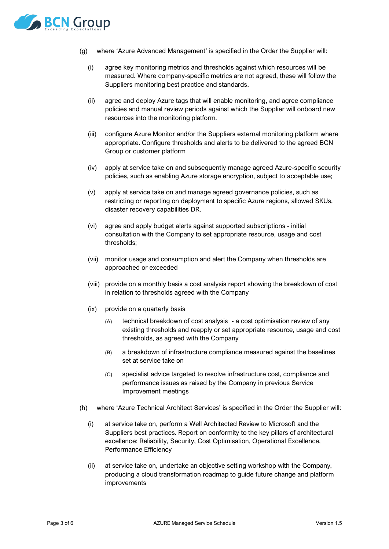

- (g) where 'Azure Advanced Management' is specified in the Order the Supplier will:
	- (i) agree key monitoring metrics and thresholds against which resources will be measured. Where company-specific metrics are not agreed, these will follow the Suppliers monitoring best practice and standards.
	- (ii) agree and deploy Azure tags that will enable monitoring, and agree compliance policies and manual review periods against which the Supplier will onboard new resources into the monitoring platform.
	- (iii) configure Azure Monitor and/or the Suppliers external monitoring platform where appropriate. Configure thresholds and alerts to be delivered to the agreed BCN Group or customer platform
	- (iv) apply at service take on and subsequently manage agreed Azure-specific security policies, such as enabling Azure storage encryption, subject to acceptable use;
	- (v) apply at service take on and manage agreed governance policies, such as restricting or reporting on deployment to specific Azure regions, allowed SKUs, disaster recovery capabilities DR.
	- (vi) agree and apply budget alerts against supported subscriptions initial consultation with the Company to set appropriate resource, usage and cost thresholds;
	- (vii) monitor usage and consumption and alert the Company when thresholds are approached or exceeded
	- (viii) provide on a monthly basis a cost analysis report showing the breakdown of cost in relation to thresholds agreed with the Company
	- (ix) provide on a quarterly basis
		- (A) technical breakdown of cost analysis a cost optimisation review of any existing thresholds and reapply or set appropriate resource, usage and cost thresholds, as agreed with the Company
		- (B) a breakdown of infrastructure compliance measured against the baselines set at service take on
		- (C) specialist advice targeted to resolve infrastructure cost, compliance and performance issues as raised by the Company in previous Service Improvement meetings
- (h) where 'Azure Technical Architect Services' is specified in the Order the Supplier will:
	- (i) at service take on, perform a Well Architected Review to Microsoft and the Suppliers best practices. Report on conformity to the key pillars of architectural excellence: Reliability, Security, Cost Optimisation, Operational Excellence, Performance Efficiency
	- (ii) at service take on, undertake an objective setting workshop with the Company, producing a cloud transformation roadmap to guide future change and platform improvements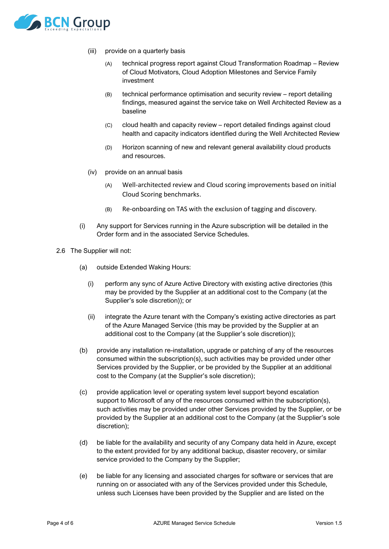

- (iii) provide on a quarterly basis
	- (A) technical progress report against Cloud Transformation Roadmap Review of Cloud Motivators, Cloud Adoption Milestones and Service Family investment
	- (B) technical performance optimisation and security review report detailing findings, measured against the service take on Well Architected Review as a baseline
	- (C) cloud health and capacity review report detailed findings against cloud health and capacity indicators identified during the Well Architected Review
	- (D) Horizon scanning of new and relevant general availability cloud products and resources.
- (iv) provide on an annual basis
	- (A) Well-architected review and Cloud scoring improvements based on initial Cloud Scoring benchmarks.
	- (B) Re-onboarding on TAS with the exclusion of tagging and discovery.
- (i) Any support for Services running in the Azure subscription will be detailed in the Order form and in the associated Service Schedules.
- 2.6 The Supplier will not:
	- (a) outside Extended Waking Hours:
		- (i) perform any sync of Azure Active Directory with existing active directories (this may be provided by the Supplier at an additional cost to the Company (at the Supplier's sole discretion)); or
		- (ii) integrate the Azure tenant with the Company's existing active directories as part of the Azure Managed Service (this may be provided by the Supplier at an additional cost to the Company (at the Supplier's sole discretion));
	- (b) provide any installation re-installation, upgrade or patching of any of the resources consumed within the subscription(s), such activities may be provided under other Services provided by the Supplier, or be provided by the Supplier at an additional cost to the Company (at the Supplier's sole discretion);
	- (c) provide application level or operating system level support beyond escalation support to Microsoft of any of the resources consumed within the subscription(s), such activities may be provided under other Services provided by the Supplier, or be provided by the Supplier at an additional cost to the Company (at the Supplier's sole discretion);
	- (d) be liable for the availability and security of any Company data held in Azure, except to the extent provided for by any additional backup, disaster recovery, or similar service provided to the Company by the Supplier;
	- (e) be liable for any licensing and associated charges for software or services that are running on or associated with any of the Services provided under this Schedule, unless such Licenses have been provided by the Supplier and are listed on the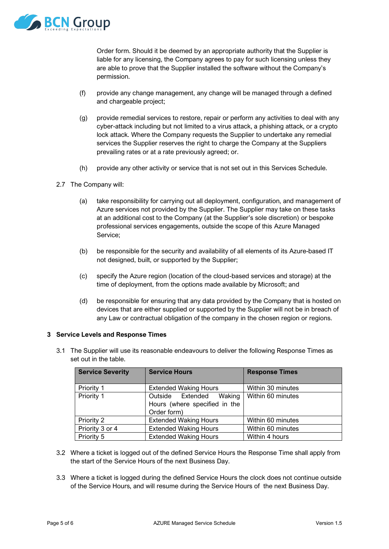

Order form. Should it be deemed by an appropriate authority that the Supplier is liable for any licensing, the Company agrees to pay for such licensing unless they are able to prove that the Supplier installed the software without the Company's permission.

- (f) provide any change management, any change will be managed through a defined and chargeable project;
- (g) provide remedial services to restore, repair or perform any activities to deal with any cyber-attack including but not limited to a virus attack, a phishing attack, or a crypto lock attack. Where the Company requests the Supplier to undertake any remedial services the Supplier reserves the right to charge the Company at the Suppliers prevailing rates or at a rate previously agreed; or.
- (h) provide any other activity or service that is not set out in this Services Schedule.
- 2.7 The Company will:
	- (a) take responsibility for carrying out all deployment, configuration, and management of Azure services not provided by the Supplier. The Supplier may take on these tasks at an additional cost to the Company (at the Supplier's sole discretion) or bespoke professional services engagements, outside the scope of this Azure Managed Service;
	- (b) be responsible for the security and availability of all elements of its Azure-based IT not designed, built, or supported by the Supplier;
	- (c) specify the Azure region (location of the cloud-based services and storage) at the time of deployment, from the options made available by Microsoft; and
	- (d) be responsible for ensuring that any data provided by the Company that is hosted on devices that are either supplied or supported by the Supplier will not be in breach of any Law or contractual obligation of the company in the chosen region or regions.

## **3 Service Levels and Response Times**

<span id="page-4-0"></span>3.1 The Supplier will use its reasonable endeavours to deliver the following Response Times as set out in the table.

| <b>Service Severity</b> | <b>Service Hours</b>                                                       | <b>Response Times</b> |
|-------------------------|----------------------------------------------------------------------------|-----------------------|
| Priority 1              | <b>Extended Waking Hours</b>                                               | Within 30 minutes     |
| Priority 1              | Waking<br>Outside Extended<br>Hours (where specified in the<br>Order form) | Within 60 minutes     |
| Priority 2              | <b>Extended Waking Hours</b>                                               | Within 60 minutes     |
| Priority 3 or 4         | <b>Extended Waking Hours</b>                                               | Within 60 minutes     |
| Priority 5              | <b>Extended Waking Hours</b>                                               | Within 4 hours        |

- 3.2 Where a ticket is logged out of the defined Service Hours the Response Time shall apply from the start of the Service Hours of the next Business Day.
- 3.3 Where a ticket is logged during the defined Service Hours the clock does not continue outside of the Service Hours, and will resume during the Service Hours of the next Business Day.